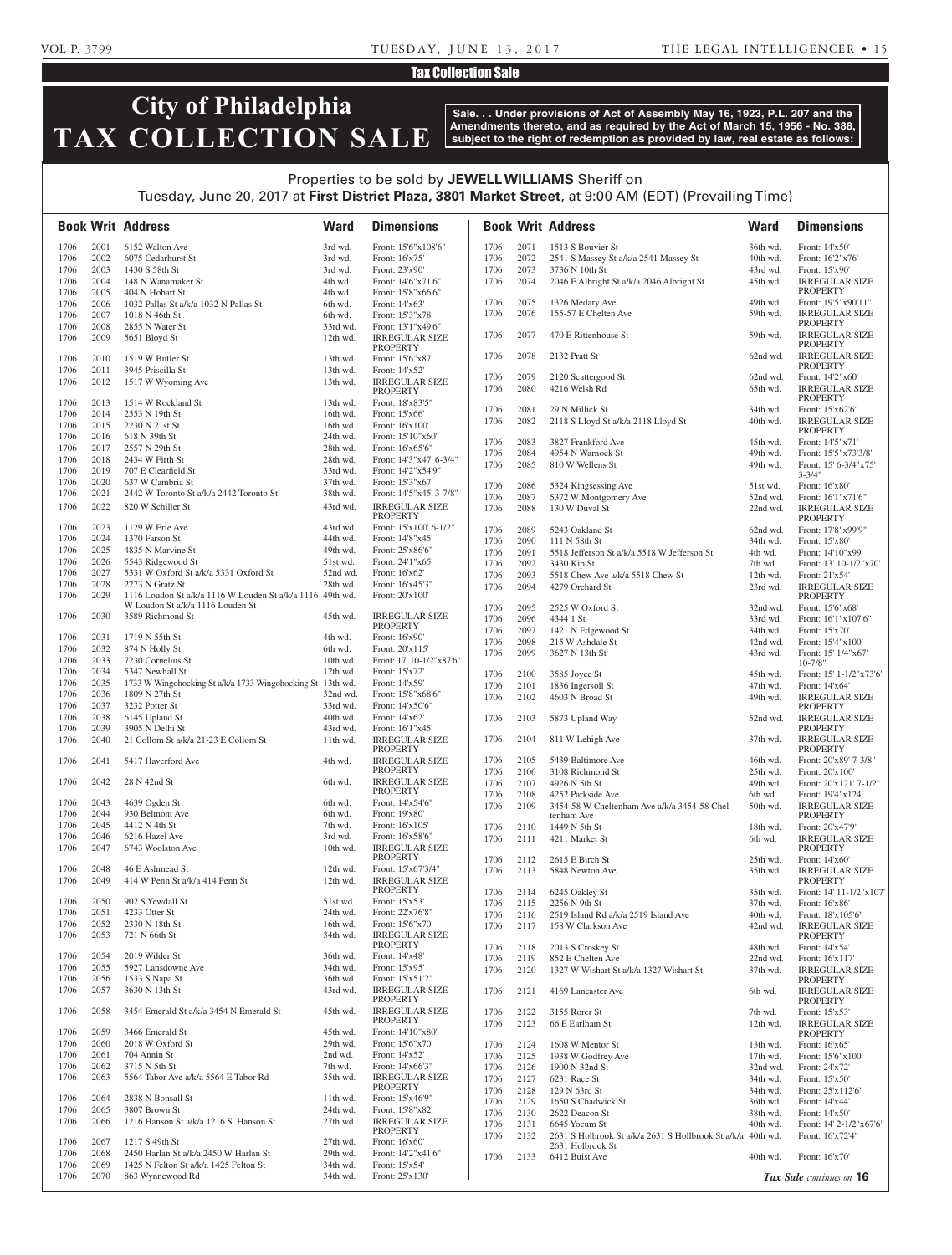# Tax Collection Sale

# **City of Philadelphia TAX COLLECTION SALE**

**Sale. . . Under provisions of Act of Assembly May 16, 1923, P.L. 207 and the Amendments thereto, and as required by the Act of March 15, 1956 - No. 388, subject to the right of redemption as provided by law, real estate as follows:**

# Properties to be sold by **JEWELL WILLIAMS** Sheriff on Tuesday, June 20, 2017 at **First District Plaza, 3801 Market Street**, at 9:00 AM (EDT) (Prevailing Time)

|              |              | <b>Book Writ Address</b>                                   | <b>Ward</b>          | <b>Dimensions</b>                        |      |      | <b>Book Writ Address</b>                                    | <b>Ward</b> | <b>Dimensions</b>                        |
|--------------|--------------|------------------------------------------------------------|----------------------|------------------------------------------|------|------|-------------------------------------------------------------|-------------|------------------------------------------|
| 1706         | 2001         | 6152 Walton Ave                                            | 3rd wd.              | Front: 15'6"x108'6"                      | 1706 | 2071 | 1513 S Bouvier St                                           | 36th wd.    | Front: 14'x50'                           |
| 1706         | 2002         | 6075 Cedarhurst St                                         | 3rd wd.              | Front: 16'x75'                           | 1706 | 2072 | 2541 S Massey St a/k/a 2541 Massey St                       | 40th wd.    | Front: 16'2"x76'                         |
| 1706         | 2003         | 1430 S 58th St                                             | 3rd wd.              | Front: 23'x90'                           | 1706 | 2073 | 3736 N 10th St                                              | 43rd wd.    | Front: 15'x90'                           |
| 1706         | 2004         | 148 N Wanamaker St                                         | 4th wd.              | Front: 14'6"x71'6"                       | 1706 | 2074 | 2046 E Albright St a/k/a 2046 Albright St                   | 45th wd.    | <b>IRREGULAR SIZE</b>                    |
| 1706         | 2005         | 404 N Hobart St                                            | 4th wd.              | Front: 15'8"x66'6"                       |      |      |                                                             |             | <b>PROPERTY</b>                          |
| 1706         | 2006         | 1032 Pallas St a/k/a 1032 N Pallas St                      | 6th wd.              | Front: 14'x63'                           | 1706 | 2075 | 1326 Medary Ave                                             | 49th wd.    | Front: 19'5"x90'11"                      |
| 1706         | 2007         | 1018 N 46th St                                             | 6th wd.              | Front: 15'3"x78"                         | 1706 | 2076 | 155-57 E Chelten Ave                                        | 59th wd.    | <b>IRREGULAR SIZE</b>                    |
| 1706         | 2008         | 2855 N Water St                                            | 33rd wd.             | Front: 13'1"x49'6"                       |      |      |                                                             |             | <b>PROPERTY</b>                          |
| 1706         | 2009         | 5651 Bloyd St                                              | 12th wd.             | <b>IRREGULAR SIZE</b>                    | 1706 | 2077 | 470 E Rittenhouse St                                        | 59th wd.    | <b>IRREGULAR SIZE</b>                    |
|              |              |                                                            |                      | <b>PROPERTY</b>                          |      | 2078 |                                                             |             | <b>PROPERTY</b><br><b>IRREGULAR SIZE</b> |
| 1706         | 2010         | 1519 W Butler St                                           | 13th wd.             | Front: 15'6"x87'                         | 1706 |      | 2132 Pratt St                                               | 62nd wd.    | <b>PROPERTY</b>                          |
| 1706         | 2011         | 3945 Priscilla St                                          | 13th wd.             | Front: 14'x52'                           | 1706 | 2079 | 2120 Scattergood St                                         | 62nd wd.    | Front: 14'2"x60"                         |
| 1706         | 2012         | 1517 W Wyoming Ave                                         | 13th wd.             | <b>IRREGULAR SIZE</b>                    | 1706 | 2080 | 4216 Welsh Rd                                               | 65th wd.    | <b>IRREGULAR SIZE</b>                    |
| 1706         | 2013         |                                                            | 13th wd.             | <b>PROPERTY</b>                          |      |      |                                                             |             | <b>PROPERTY</b>                          |
|              | 2014         | 1514 W Rockland St<br>2553 N 19th St                       | 16th wd.             | Front: 18'x83'5"<br>Front: 15'x66'       | 1706 | 2081 | 29 N Millick St                                             | 34th wd.    | Front: 15'x62'6"                         |
| 1706<br>1706 | 2015         | 2230 N 21st St                                             | 16th wd.             | Front: 16'x100'                          | 1706 | 2082 | 2118 S Lloyd St a/k/a 2118 Lloyd St                         | 40th wd.    | <b>IRREGULAR SIZE</b>                    |
| 1706         | 2016         | 618 N 39th St                                              | 24th wd.             | Front: 15'10"x60"                        |      |      |                                                             |             | <b>PROPERTY</b>                          |
| 1706         | 2017         | 2557 N 29th St                                             | 28th wd.             | Front: 16'x65'6"                         | 1706 | 2083 | 3827 Frankford Ave                                          | 45th wd.    | Front: 14'5"x71"                         |
| 1706         | 2018         | 2434 W Firth St                                            | 28th wd.             | Front: 14'3"x47' 6-3/4"                  | 1706 | 2084 | 4954 N Warnock St                                           | 49th wd.    | Front: 15'5"x73'3/8"                     |
| 1706         | 2019         | 707 E Clearfield St                                        | 33rd wd.             | Front: 14'2"x54'9"                       | 1706 | 2085 | 810 W Wellens St                                            | 49th wd.    | Front: 15' 6-3/4"x75'                    |
| 1706         | 2020         | 637 W Cambria St                                           | 37th wd.             | Front: 15'3"x67"                         |      |      |                                                             |             | $3 - 3/4"$                               |
| 1706         | 2021         | 2442 W Toronto St a/k/a 2442 Toronto St                    | 38th wd.             | Front: 14'5"x45' 3-7/8"                  | 1706 | 2086 | 5324 Kingsessing Ave                                        | 51st wd.    | Front: 16'x80'                           |
| 1706         | 2022         | 820 W Schiller St                                          | 43rd wd.             | <b>IRREGULAR SIZE</b>                    | 1706 | 2087 | 5372 W Montgomery Ave                                       | 52nd wd.    | Front: 16'1"x71'6"                       |
|              |              |                                                            |                      | PROPERTY                                 | 1706 | 2088 | 130 W Duval St                                              | 22nd wd.    | <b>IRREGULAR SIZE</b><br><b>PROPERTY</b> |
| 1706         | 2023         | 1129 W Erie Ave                                            | 43rd wd.             | Front: 15'x100' 6-1/2"                   | 1706 | 2089 | 5243 Oakland St                                             | 62nd wd.    | Front: 17'8"x99'9"                       |
| 1706         | 2024         | 1370 Farson St                                             | 44th wd.             | Front: 14'8"x45"                         | 1706 | 2090 | 111 N 58th St                                               | 34th wd.    | Front: 15'x80'                           |
| 1706         | 2025         | 4835 N Marvine St                                          | 49th wd.             | Front: 25'x86'6"                         | 1706 | 2091 | 5518 Jefferson St a/k/a 5518 W Jefferson St                 | 4th wd.     | Front: 14'10"x99"                        |
| 1706         | 2026         | 5543 Ridgewood St                                          | 51st wd.             | Front: 24'1"x65"                         | 1706 | 2092 | 3430 Kip St                                                 | 7th wd.     | Front: 13' 10-1/2"x70"                   |
| 1706         | 2027         | 5331 W Oxford St a/k/a 5331 Oxford St                      | 52nd wd.             | Front: 16'x62'                           | 1706 | 2093 | 5518 Chew Ave a/k/a 5518 Chew St                            | 12th wd.    | Front: 21'x54'                           |
| 1706         | 2028         | 2273 N Gratz St                                            | 28th wd.             | Front: 16'x45'3"                         | 1706 | 2094 | 4279 Orchard St                                             | 23rd wd.    | <b>IRREGULAR SIZE</b>                    |
| 1706         | 2029         | 1116 Loudon St a/k/a 1116 W Louden St a/k/a 1116 49th wd.  |                      | Front: 20'x100'                          |      |      |                                                             |             | <b>PROPERTY</b>                          |
|              |              | W Loudon St a/k/a 1116 Louden St                           |                      |                                          | 1706 | 2095 | 2525 W Oxford St                                            | 32nd wd.    | Front: 15'6"x68"                         |
| 1706         | 2030         | 3589 Richmond St                                           | 45th wd.             | <b>IRREGULAR SIZE</b>                    | 1706 | 2096 | 4344 1 St                                                   | 33rd wd.    | Front: 16'1"x107'6"                      |
|              |              |                                                            |                      | PROPERTY                                 | 1706 | 2097 | 1421 N Edgewood St                                          | 34th wd.    | Front: 15'x70'                           |
| 1706         | 2031         | 1719 N 55th St                                             | 4th wd.              | Front: 16'x90'                           | 1706 | 2098 | 215 W Ashdale St                                            | 42nd wd.    | Front: 15'4"x100"                        |
| 1706         | 2032         | 874 N Holly St                                             | 6th wd.              | Front: 20'x115'                          | 1706 | 2099 | 3627 N 13th St                                              | 43rd wd.    | Front: 15' 1/4"x67'                      |
| 1706         | 2033         | 7230 Cornelius St                                          | 10th wd.             | Front: 17' 10-1/2"x87'6"                 |      |      |                                                             |             | $10 - 7/8"$                              |
| 1706         | 2034         | 5347 Newhall St                                            | 12th wd.             | Front: 15'x72'                           | 1706 | 2100 | 3585 Joyce St                                               | 45th wd.    | Front: 15' 1-1/2"x73'6"                  |
| 1706         | 2035         | 1733 W Wingohocking St a/k/a 1733 Wingohocking St 13th wd. |                      | Front: 14'x59'                           | 1706 | 2101 | 1836 Ingersoll St                                           | 47th wd.    | Front: 14'x64'                           |
| 1706         | 2036         | 1809 N 27th St                                             | 32nd wd.             | Front: 15'8"x68'6"                       | 1706 | 2102 | 4603 N Broad St                                             | 49th wd.    | <b>IRREGULAR SIZE</b>                    |
| 1706         | 2037         | 3232 Potter St                                             | 33rd wd.             | Front: 14'x50'6"                         |      |      |                                                             |             | <b>PROPERTY</b>                          |
| 1706         | 2038         | 6145 Upland St                                             | 40th wd.             | Front: 14'x62'                           | 1706 | 2103 | 5873 Upland Way                                             | 52nd wd.    | <b>IRREGULAR SIZE</b>                    |
| 1706         | 2039         | 3905 N Delhi St                                            | 43rd wd.             | Front: 16'1"x45"                         |      |      |                                                             |             | <b>PROPERTY</b>                          |
| 1706         | 2040         | 21 Collom St a/k/a 21-23 E Collom St                       | 11th wd.             | <b>IRREGULAR SIZE</b><br><b>PROPERTY</b> |      |      | 1706 2104 811 W Lehigh Ave                                  | 37th wd.    | <b>IRREGULAR SIZE</b><br><b>PROPERTY</b> |
| 1706         | 2041         | 5417 Haverford Ave                                         | 4th wd.              | <b>IRREGULAR SIZE</b>                    | 1706 | 2105 | 5439 Baltimore Ave                                          | 46th wd.    | Front: 20'x89' 7-3/8"                    |
|              |              |                                                            |                      | <b>PROPERTY</b>                          | 1706 | 2106 | 3108 Richmond St                                            | 25th wd.    | Front: 20'x100'                          |
| 1706         | 2042         | 28 N 42nd St                                               | 6th wd.              | <b>IRREGULAR SIZE</b>                    | 1706 | 2107 | 4926 N 5th St                                               | 49th wd.    | Front: 20'x121' 7-1/2"                   |
|              |              |                                                            |                      | <b>PROPERTY</b>                          | 1706 | 2108 | 4252 Parkside Ave                                           | 6th wd.     | Front: 19'4"x124'                        |
| 1706         | 2043         | 4639 Ogden St                                              | 6th wd.              | Front: 14'x54'6"                         | 1706 | 2109 | 3454-58 W Cheltenham Ave a/k/a 3454-58 Chel-                | 50th wd.    | <b>IRREGULAR SIZE</b>                    |
| 1706         | 2044         | 930 Belmont Ave                                            | 6th wd.              | Front: 19'x80'                           |      |      | tenham Ave                                                  |             | <b>PROPERTY</b>                          |
| 1706         | 2045         | 4412 N 4th St                                              | 7th wd.              | Front: 16'x105'                          | 1706 | 2110 | 1449 N 5th St                                               | 18th wd.    | Front: 20'x47'9"                         |
| 1706         | 2046         | 6216 Hazel Ave                                             | 3rd wd.              | Front: 16'x58'6"                         | 1706 | 2111 | 4211 Market St                                              | 6th wd.     | <b>IRREGULAR SIZE</b>                    |
| 1706         | 2047         | 6743 Woolston Ave                                          | 10th wd.             | <b>IRREGULAR SIZE</b>                    |      |      |                                                             |             | <b>PROPERTY</b>                          |
|              |              |                                                            |                      | <b>PROPERTY</b>                          | 1706 | 2112 | 2615 E Birch St                                             | 25th wd.    | Front: 14'x60'                           |
| 1706         | 2048         | 46 E Ashmead St                                            | 12th wd.             | Front: 15'x67'3/4"                       | 1706 | 2113 | 5848 Newton Ave                                             | 35th wd.    | <b>IRREGULAR SIZE</b>                    |
| 1706         | 2049         | 414 W Penn St a/k/a 414 Penn St                            | 12th wd.             | <b>IRREGULAR SIZE</b>                    |      |      |                                                             |             | <b>PROPERTY</b>                          |
|              |              |                                                            |                      | <b>PROPERTY</b>                          | 1706 | 2114 | 6245 Oakley St                                              | 35th wd.    | Front: 14' 11-1/2"x107                   |
| 1706         | 2050         | 902 S Yewdall St                                           | 51st wd.             | Front: 15'x53'                           | 1706 | 2115 | 2256 N 9th St                                               | 37th wd.    | Front: 16'x86'                           |
| 1706         | 2051         | 4233 Otter St                                              | 24th wd.             | Front: 22'x76'8"                         | 1706 | 2116 | 2519 Island Rd a/k/a 2519 Island Ave                        | 40th wd.    | Front: 18'x105'6"                        |
| 1706         | 2052         | 2330 N 18th St                                             | 16th wd.             | Front: 15'6"x70"                         | 1706 | 2117 | 158 W Clarkson Ave                                          | 42nd wd.    | <b>IRREGULAR SIZE</b>                    |
| 1706         | 2053         | 721 N 66th St                                              | 34th wd.             | <b>IRREGULAR SIZE</b><br><b>PROPERTY</b> |      |      |                                                             |             | <b>PROPERTY</b>                          |
| 1706         | 2054         | 2019 Wilder St                                             | 36th wd.             | Front: 14'x48'                           | 1706 | 2118 | 2013 S Croskey St                                           | 48th wd.    | Front: 14'x54'                           |
| 1706         | 2055         | 5927 Lansdowne Ave                                         | 34th wd.             | Front: 15'x95'                           | 1706 | 2119 | 852 E Chelten Ave                                           | 22nd wd.    | Front: 16'x117'                          |
| 1706         | 2056         | 1533 S Napa St                                             | 36th wd.             | Front: 15'x51'2"                         | 1706 | 2120 | 1327 W Wishart St a/k/a 1327 Wishart St                     | 37th wd.    | <b>IRREGULAR SIZE</b><br><b>PROPERTY</b> |
| 1706         | 2057         | 3630 N 13th St                                             | 43rd wd.             | <b>IRREGULAR SIZE</b>                    | 1706 | 2121 | 4169 Lancaster Ave                                          | 6th wd.     | <b>IRREGULAR SIZE</b>                    |
|              |              |                                                            |                      | <b>PROPERTY</b>                          |      |      |                                                             |             | <b>PROPERTY</b>                          |
| 1706         | 2058         | 3454 Emerald St a/k/a 3454 N Emerald St                    | 45th wd.             | <b>IRREGULAR SIZE</b>                    | 1706 | 2122 | 3155 Rorer St                                               | 7th wd.     | Front: 15'x53'                           |
|              |              |                                                            |                      | <b>PROPERTY</b>                          | 1706 | 2123 | 66 E Earlham St                                             | 12th wd.    | <b>IRREGULAR SIZE</b>                    |
| 1706         | 2059         | 3466 Emerald St                                            | 45th wd.             | Front: 14'10"x80'                        |      |      |                                                             |             | <b>PROPERTY</b>                          |
| 1706         | 2060         | 2018 W Oxford St                                           | 29th wd.             | Front: 15'6"x70"                         | 1706 | 2124 | 1608 W Mentor St                                            | 13th wd.    | Front: 16'x65'                           |
| 1706         | 2061         | 704 Annin St                                               | 2nd wd.              | Front: 14'x52'                           | 1706 | 2125 | 1938 W Godfrey Ave                                          | 17th wd.    | Front: 15'6"x100"                        |
| 1706         | 2062         | 3715 N 5th St                                              | 7th wd.              | Front: 14'x66'3"                         | 1706 | 2126 | 1900 N 32nd St                                              | 32nd wd.    | Front: 24'x72'                           |
| 1706         | 2063         | 5564 Tabor Ave a/k/a 5564 E Tabor Rd                       | 35th wd.             | <b>IRREGULAR SIZE</b>                    | 1706 | 2127 | 6231 Race St                                                | 34th wd.    | Front: 15'x50'                           |
|              |              |                                                            |                      | <b>PROPERTY</b>                          | 1706 | 2128 | 129 N 63rd St                                               | 34th wd.    | Front: 25'x112'6"                        |
| 1706         | 2064         | 2838 N Bonsall St                                          | 11th wd.             | Front: 15'x46'9"                         | 1706 | 2129 | 1650 S Chadwick St                                          | 36th wd.    | Front: 14'x44'                           |
| 1706         | 2065         | 3807 Brown St                                              | 24th wd.             | Front: 15'8"x82"                         | 1706 | 2130 | 2622 Deacon St                                              | 38th wd.    | Front: 14'x50'                           |
| 1706         | 2066         | 1216 Hanson St a/k/a 1216 S. Hanson St                     | 27th wd.             | <b>IRREGULAR SIZE</b>                    | 1706 | 2131 | 6645 Yocum St                                               | 40th wd.    | Front: 14' 2-1/2"x67'6"                  |
|              |              |                                                            |                      | PROPERTY                                 | 1706 | 2132 | 2631 S Holbrook St a/k/a 2631 S Hollbrook St a/k/a 40th wd. |             | Front: 16'x72'4"                         |
| 1706         | 2067         | 1217 S 49th St                                             | 27th wd.             | Front: 16'x60'                           |      |      | 2631 Holbrook St                                            |             |                                          |
| 1706         | 2068         | 2450 Harlan St a/k/a 2450 W Harlan St                      | 29th wd.             | Front: 14'2"x41'6"                       | 1706 | 2133 | 6412 Buist Ave                                              | 40th wd.    | Front: 16'x70'                           |
| 1706<br>1706 | 2069<br>2070 | 1425 N Felton St a/k/a 1425 Felton St                      | 34th wd.<br>34th wd. | Front: 15'x54'                           |      |      |                                                             |             | Tax Sale continues on 16                 |
|              |              | 863 Wynnewood Rd                                           |                      | Front: 25'x130'                          |      |      |                                                             |             |                                          |